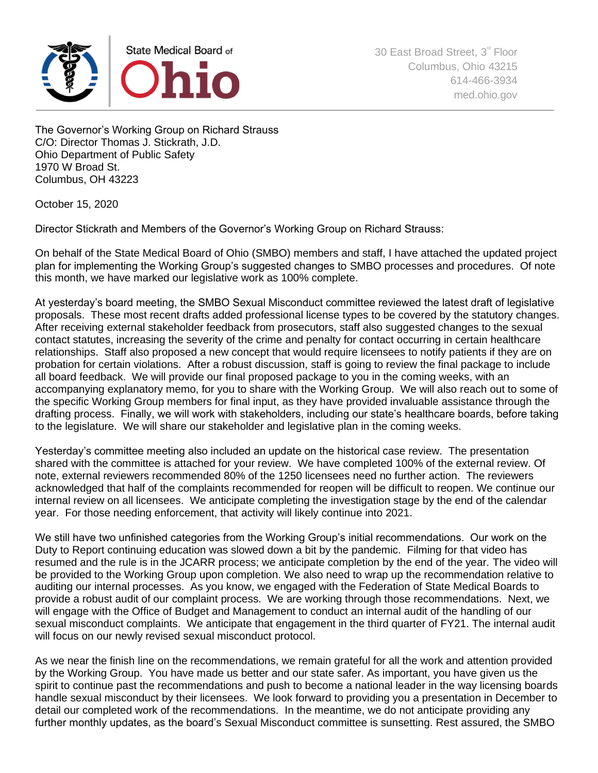

The Governor's Working Group on Richard Strauss C/O: Director Thomas J. Stickrath, J.D. Ohio Department of Public Safety 1970 W Broad St. Columbus, OH 43223

October 15, 2020

Director Stickrath and Members of the Governor's Working Group on Richard Strauss:

On behalf of the State Medical Board of Ohio (SMBO) members and staff, I have attached the updated project plan for implementing the Working Group's suggested changes to SMBO processes and procedures. Of note this month, we have marked our legislative work as 100% complete.

At yesterday's board meeting, the SMBO Sexual Misconduct committee reviewed the latest draft of legislative proposals. These most recent drafts added professional license types to be covered by the statutory changes. After receiving external stakeholder feedback from prosecutors, staff also suggested changes to the sexual contact statutes, increasing the severity of the crime and penalty for contact occurring in certain healthcare relationships. Staff also proposed a new concept that would require licensees to notify patients if they are on probation for certain violations. After a robust discussion, staff is going to review the final package to include all board feedback. We will provide our final proposed package to you in the coming weeks, with an accompanying explanatory memo, for you to share with the Working Group. We will also reach out to some of the specific Working Group members for final input, as they have provided invaluable assistance through the drafting process. Finally, we will work with stakeholders, including our state's healthcare boards, before taking to the legislature. We will share our stakeholder and legislative plan in the coming weeks.

Yesterday's committee meeting also included an update on the historical case review. The presentation shared with the committee is attached for your review. We have completed 100% of the external review. Of note, external reviewers recommended 80% of the 1250 licensees need no further action. The reviewers acknowledged that half of the complaints recommended for reopen will be difficult to reopen. We continue our internal review on all licensees. We anticipate completing the investigation stage by the end of the calendar year. For those needing enforcement, that activity will likely continue into 2021.

We still have two unfinished categories from the Working Group's initial recommendations. Our work on the Duty to Report continuing education was slowed down a bit by the pandemic. Filming for that video has resumed and the rule is in the JCARR process; we anticipate completion by the end of the year. The video will be provided to the Working Group upon completion. We also need to wrap up the recommendation relative to auditing our internal processes. As you know, we engaged with the Federation of State Medical Boards to provide a robust audit of our complaint process. We are working through those recommendations. Next, we will engage with the Office of Budget and Management to conduct an internal audit of the handling of our sexual misconduct complaints. We anticipate that engagement in the third quarter of FY21. The internal audit will focus on our newly revised sexual misconduct protocol.

As we near the finish line on the recommendations, we remain grateful for all the work and attention provided by the Working Group. You have made us better and our state safer. As important, you have given us the spirit to continue past the recommendations and push to become a national leader in the way licensing boards handle sexual misconduct by their licensees. We look forward to providing you a presentation in December to detail our completed work of the recommendations. In the meantime, we do not anticipate providing any further monthly updates, as the board's Sexual Misconduct committee is sunsetting. Rest assured, the SMBO